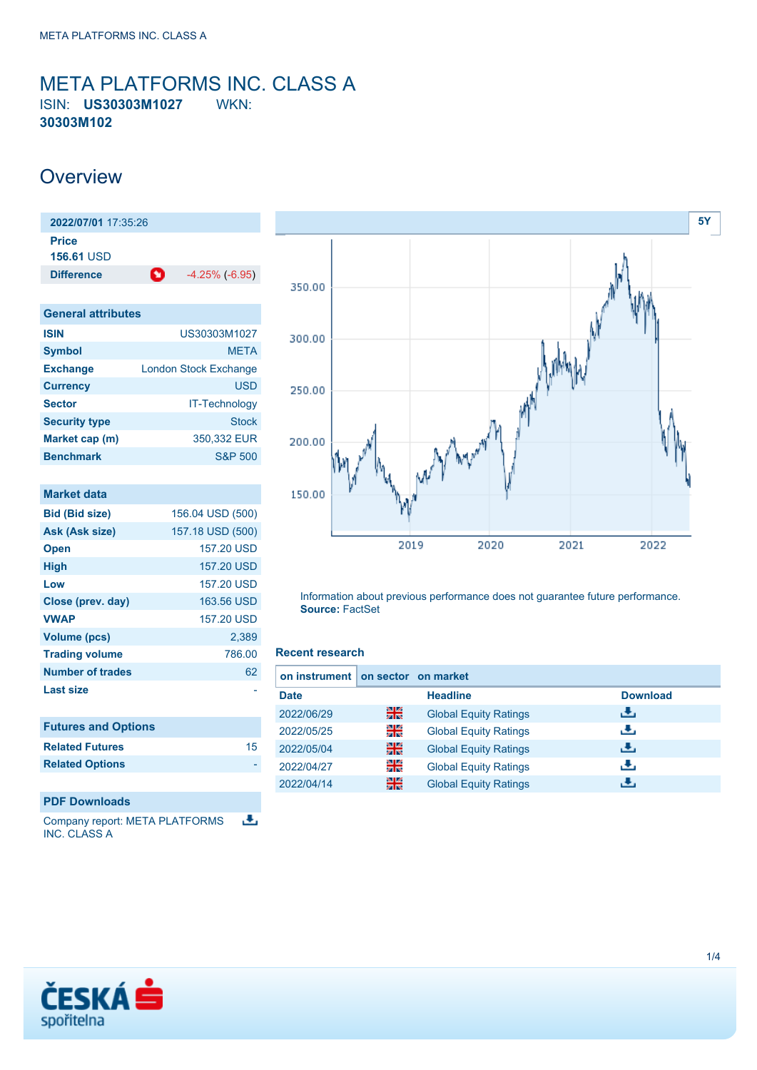## <span id="page-0-0"></span>META PLATFORMS INC. CLASS A ISIN: **US30303M1027** WKN: **30303M102**

## **Overview**

| 2022/07/01 17:35:26               |   |                       |
|-----------------------------------|---|-----------------------|
| <b>Price</b><br><b>156.61 USD</b> |   |                       |
| <b>Difference</b>                 | O | $-4.25\%$ ( $-6.95$ ) |

| <b>General attributes</b> |                              |
|---------------------------|------------------------------|
| <b>ISIN</b>               | US30303M1027                 |
| <b>Symbol</b>             | <b>META</b>                  |
| <b>Exchange</b>           | <b>London Stock Exchange</b> |
| <b>Currency</b>           | <b>USD</b>                   |
| <b>Sector</b>             | <b>IT-Technology</b>         |
| <b>Security type</b>      | <b>Stock</b>                 |
| Market cap (m)            | 350,332 EUR                  |
| <b>Benchmark</b>          | <b>S&amp;P 500</b>           |

| <b>Market data</b>         |                  |
|----------------------------|------------------|
| <b>Bid (Bid size)</b>      | 156.04 USD (500) |
| Ask (Ask size)             | 157.18 USD (500) |
| <b>Open</b>                | 157.20 USD       |
| <b>High</b>                | 157.20 USD       |
| Low                        | 157.20 USD       |
| Close (prev. day)          | 163.56 USD       |
| <b>VWAP</b>                | 157.20 USD       |
| <b>Volume (pcs)</b>        | 2,389            |
| <b>Trading volume</b>      | 786.00           |
| <b>Number of trades</b>    | 62               |
| Last size                  |                  |
|                            |                  |
| <b>Futures and Options</b> |                  |
| <b>Related Futures</b>     | 15               |
| <b>Related Options</b>     |                  |
|                            |                  |

### **PDF Downloads**

舌 Company report: META PLATFORMS INC. CLASS A



Information about previous performance does not guarantee future performance. **Source:** FactSet

### **Recent research**

| on instrument I |    | on sector on market          |                 |
|-----------------|----|------------------------------|-----------------|
| <b>Date</b>     |    | <b>Headline</b>              | <b>Download</b> |
| 2022/06/29      | 을중 | <b>Global Equity Ratings</b> | رنان            |
| 2022/05/25      | 을  | <b>Global Equity Ratings</b> | æ,              |
| 2022/05/04      | 噐  | <b>Global Equity Ratings</b> | رالى            |
| 2022/04/27      | 꾉뚢 | <b>Global Equity Ratings</b> | æ,              |
| 2022/04/14      | 噐  | <b>Global Equity Ratings</b> |                 |

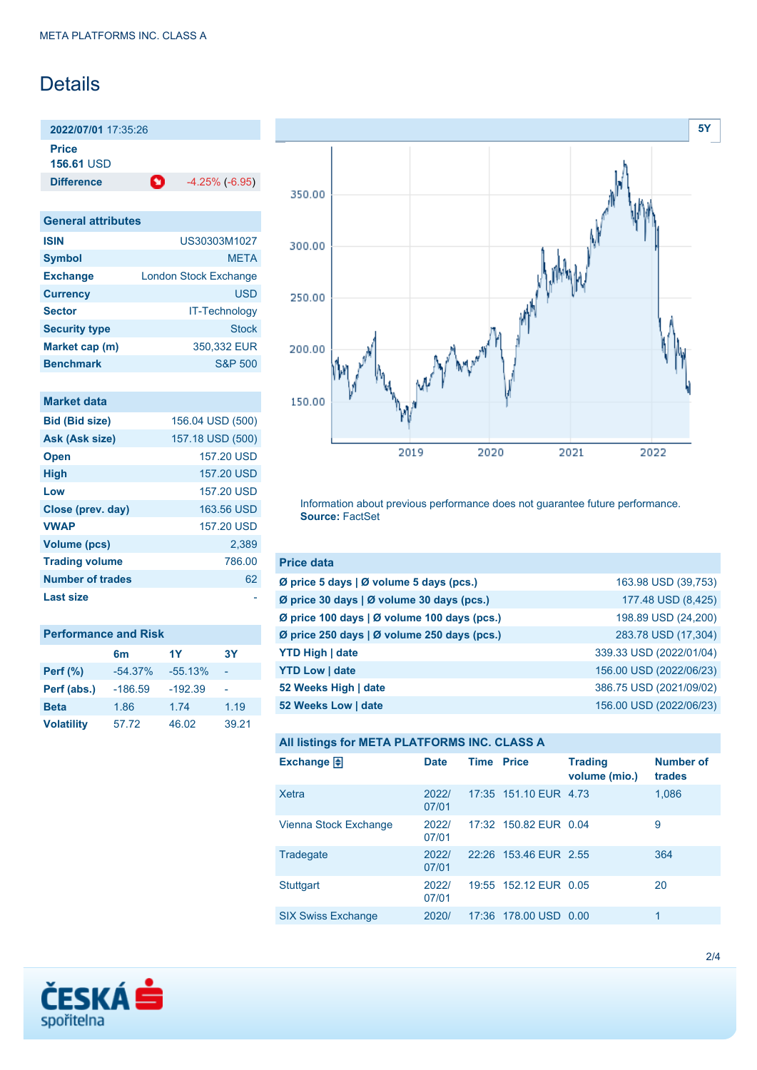## Details

**2022/07/01** 17:35:26

**Price**

**156.61** USD

**Difference 1** -4.25% (-6.95)

### **General attributes**

| <b>ISIN</b>          | US30303M1027                 |
|----------------------|------------------------------|
| <b>Symbol</b>        | <b>META</b>                  |
| <b>Exchange</b>      | <b>London Stock Exchange</b> |
| <b>Currency</b>      | USD                          |
| <b>Sector</b>        | <b>IT-Technology</b>         |
| <b>Security type</b> | <b>Stock</b>                 |
| Market cap (m)       | 350,332 EUR                  |
| <b>Benchmark</b>     | <b>S&amp;P 500</b>           |

| <b>Market data</b> |  |
|--------------------|--|
|                    |  |
|                    |  |

| <b>Bid (Bid size)</b> | 156.04 USD (500) |
|-----------------------|------------------|
| Ask (Ask size)        | 157.18 USD (500) |
| <b>Open</b>           | 157.20 USD       |
| <b>High</b>           | 157.20 USD       |
| Low                   | 157.20 USD       |
| Close (prev. day)     | 163.56 USD       |
| <b>VWAP</b>           | 157.20 USD       |
| <b>Volume (pcs)</b>   | 2,389            |
| <b>Trading volume</b> | 786.00           |
| Number of trades      | 62               |
| Last size             |                  |
|                       |                  |

| <b>Performance and Risk</b> |                |           |       |  |  |
|-----------------------------|----------------|-----------|-------|--|--|
|                             | 6 <sub>m</sub> | 1Y        | 3Υ    |  |  |
| <b>Perf (%)</b>             | $-54.37%$      | $-55.13%$ |       |  |  |
| Perf (abs.)                 | $-186.59$      | $-192.39$ |       |  |  |
| <b>Beta</b>                 | 1.86           | 1.74      | 1.19  |  |  |
| <b>Volatility</b>           | 57.72          | 46.02     | 39.21 |  |  |



Information about previous performance does not guarantee future performance. **Source:** FactSet

| <b>Price data</b>                                     |                         |
|-------------------------------------------------------|-------------------------|
| Ø price 5 days $\vert \emptyset$ volume 5 days (pcs.) | 163.98 USD (39,753)     |
| Ø price 30 days   Ø volume 30 days (pcs.)             | 177.48 USD (8,425)      |
| Ø price 100 days   Ø volume 100 days (pcs.)           | 198.89 USD (24,200)     |
| Ø price 250 days   Ø volume 250 days (pcs.)           | 283.78 USD (17,304)     |
| <b>YTD High   date</b>                                | 339.33 USD (2022/01/04) |
| <b>YTD Low   date</b>                                 | 156.00 USD (2022/06/23) |
| 52 Weeks High   date                                  | 386.75 USD (2021/09/02) |
| 52 Weeks Low   date                                   | 156.00 USD (2022/06/23) |

```
All listings for META PLATFORMS INC. CLASS A
```

| Exchange $\Box$           | <b>Date</b>    | <b>Time Price</b> |                       | <b>Trading</b><br>volume (mio.) | <b>Number of</b><br>trades |
|---------------------------|----------------|-------------------|-----------------------|---------------------------------|----------------------------|
| Xetra                     | 2022/<br>07/01 |                   | 17:35 151.10 EUR 4.73 |                                 | 1,086                      |
| Vienna Stock Exchange     | 2022/<br>07/01 |                   | 17:32 150.82 EUR 0.04 |                                 | 9                          |
| Tradegate                 | 2022/<br>07/01 |                   | 22:26 153.46 EUR 2.55 |                                 | 364                        |
| <b>Stuttgart</b>          | 2022/<br>07/01 |                   | 19:55 152.12 EUR 0.05 |                                 | 20                         |
| <b>SIX Swiss Exchange</b> | 2020/          |                   | 17:36 178.00 USD 0.00 |                                 | 1                          |

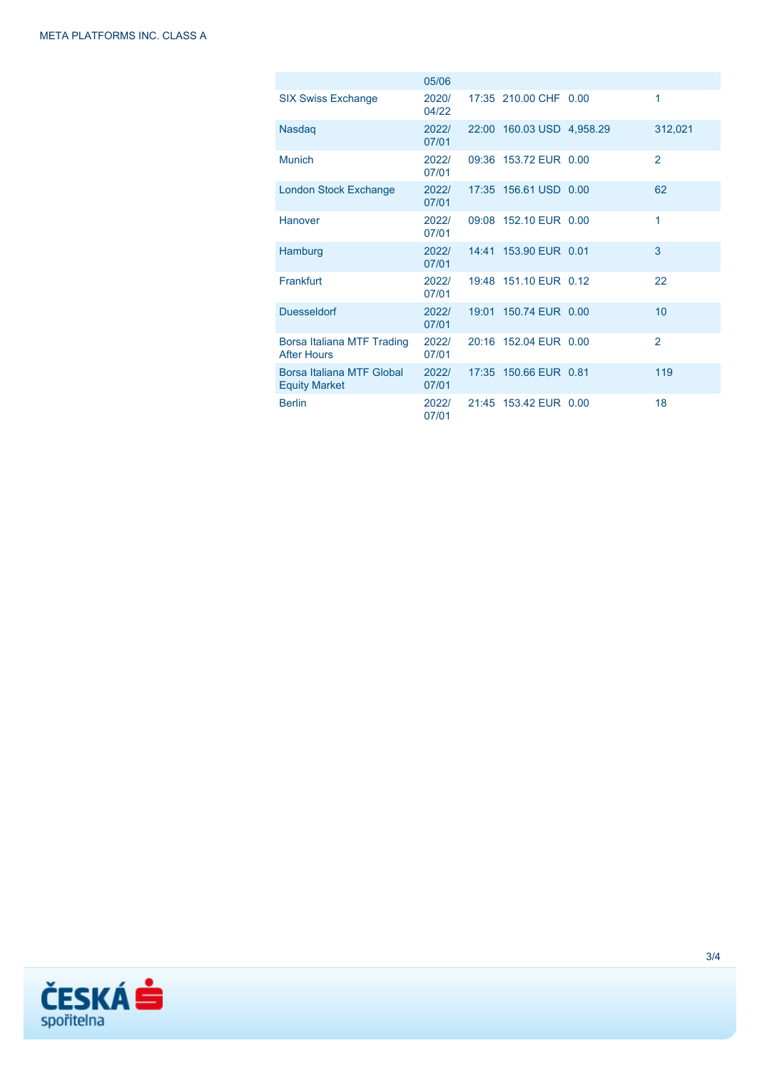|                                                   | 05/06          |                           |                |
|---------------------------------------------------|----------------|---------------------------|----------------|
| <b>SIX Swiss Exchange</b>                         | 2020/<br>04/22 | 17:35 210.00 CHF 0.00     | 1              |
| <b>Nasdag</b>                                     | 2022/<br>07/01 | 22:00 160.03 USD 4,958.29 | 312,021        |
| <b>Munich</b>                                     | 2022/<br>07/01 | 09:36 153.72 EUR 0.00     | $\overline{2}$ |
| London Stock Exchange                             | 2022/<br>07/01 | 17:35 156.61 USD 0.00     | 62             |
| Hanover                                           | 2022/<br>07/01 | 09:08 152.10 EUR 0.00     | 1              |
| Hamburg                                           | 2022/<br>07/01 | 14:41 153.90 EUR 0.01     | 3              |
| Frankfurt                                         | 2022/<br>07/01 | 19:48 151.10 EUR 0.12     | 22             |
| <b>Duesseldorf</b>                                | 2022/<br>07/01 | 19:01 150.74 EUR 0.00     | 10             |
| Borsa Italiana MTF Trading<br><b>After Hours</b>  | 2022/<br>07/01 | 20:16 152.04 EUR 0.00     | $\overline{2}$ |
| Borsa Italiana MTF Global<br><b>Equity Market</b> | 2022/<br>07/01 | 17:35 150.66 EUR 0.81     | 119            |
| <b>Berlin</b>                                     | 2022/<br>07/01 | 21:45 153.42 EUR 0.00     | 18             |